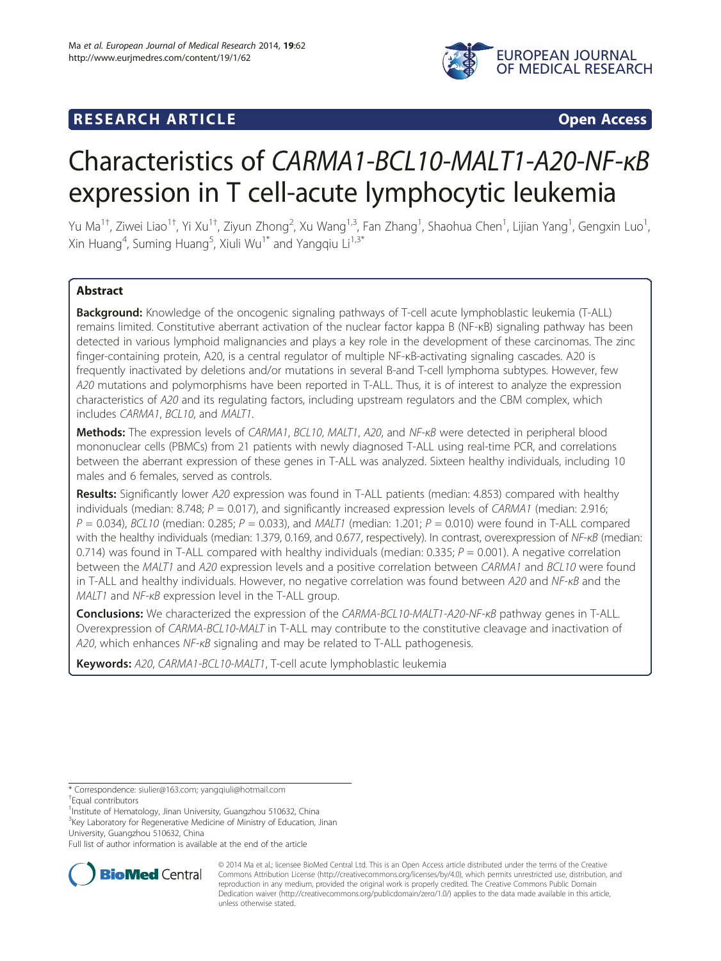

# **RESEARCH ARTICLE Example Access Open Access**

# Characteristics of CARMA1-BCL10-MALT1-A20-NF-κB expression in T cell-acute lymphocytic leukemia

Yu Ma<sup>1†</sup>, Ziwei Liao<sup>1†</sup>, Yi Xu<sup>1†</sup>, Ziyun Zhong<sup>2</sup>, Xu Wang<sup>1,3</sup>, Fan Zhang<sup>1</sup>, Shaohua Chen<sup>1</sup>, Lijian Yang<sup>1</sup>, Gengxin Luo<sup>1</sup> , Xin Huang<sup>4</sup>, Suming Huang<sup>5</sup>, Xiuli Wu<sup>1\*</sup> and Yangqiu Li<sup>1,3\*</sup>

# Abstract

**Background:** Knowledge of the oncogenic signaling pathways of T-cell acute lymphoblastic leukemia (T-ALL) remains limited. Constitutive aberrant activation of the nuclear factor kappa B (NF-κB) signaling pathway has been detected in various lymphoid malignancies and plays a key role in the development of these carcinomas. The zinc finger-containing protein, A20, is a central regulator of multiple NF-κB-activating signaling cascades. A20 is frequently inactivated by deletions and/or mutations in several B-and T-cell lymphoma subtypes. However, few A20 mutations and polymorphisms have been reported in T-ALL. Thus, it is of interest to analyze the expression characteristics of A20 and its regulating factors, including upstream regulators and the CBM complex, which includes CARMA1, BCL10, and MALT1.

**Methods:** The expression levels of CARMA1, BCL10, MALT1, A20, and NF-κB were detected in peripheral blood mononuclear cells (PBMCs) from 21 patients with newly diagnosed T-ALL using real-time PCR, and correlations between the aberrant expression of these genes in T-ALL was analyzed. Sixteen healthy individuals, including 10 males and 6 females, served as controls.

Results: Significantly lower A20 expression was found in T-ALL patients (median: 4.853) compared with healthy individuals (median: 8.748;  $P = 0.017$ ), and significantly increased expression levels of CARMA1 (median: 2.916;  $P = 0.034$ ), BCL10 (median: 0.285;  $P = 0.033$ ), and MALT1 (median: 1.201;  $P = 0.010$ ) were found in T-ALL compared with the healthy individuals (median: 1.379, 0.169, and 0.677, respectively). In contrast, overexpression of NF- $kB$  (median: 0.714) was found in T-ALL compared with healthy individuals (median: 0.335;  $P = 0.001$ ). A negative correlation between the MALT1 and A20 expression levels and a positive correlation between CARMA1 and BCL10 were found in T-ALL and healthy individuals. However, no negative correlation was found between A20 and NF-<sub>KB</sub> and the MALT1 and NF-κB expression level in the T-ALL group.

Conclusions: We characterized the expression of the CARMA-BCL10-MALT1-A20-NF- $\kappa B$  pathway genes in T-ALL. Overexpression of CARMA-BCL10-MALT in T-ALL may contribute to the constitutive cleavage and inactivation of A20, which enhances NF-κB signaling and may be related to T-ALL pathogenesis.

Keywords: A20, CARMA1-BCL10-MALT1, T-cell acute lymphoblastic leukemia

\* Correspondence: [siulier@163.com](mailto:siulier@163.com); [yangqiuli@hotmail.com](mailto:yangqiuli@hotmail.com) †

<sup>1</sup>Institute of Hematology, Jinan University, Guangzhou 510632, China <sup>3</sup>Key Laboratory for Regenerative Medicine of Ministry of Education, Jinan University, Guangzhou 510632, China

Full list of author information is available at the end of the article



© 2014 Ma et al.; licensee BioMed Central Ltd. This is an Open Access article distributed under the terms of the Creative Commons Attribution License [\(http://creativecommons.org/licenses/by/4.0\)](http://creativecommons.org/licenses/by/4.0), which permits unrestricted use, distribution, and reproduction in any medium, provided the original work is properly credited. The Creative Commons Public Domain Dedication waiver [\(http://creativecommons.org/publicdomain/zero/1.0/](http://creativecommons.org/publicdomain/zero/1.0/)) applies to the data made available in this article, unless otherwise stated.

Equal contributors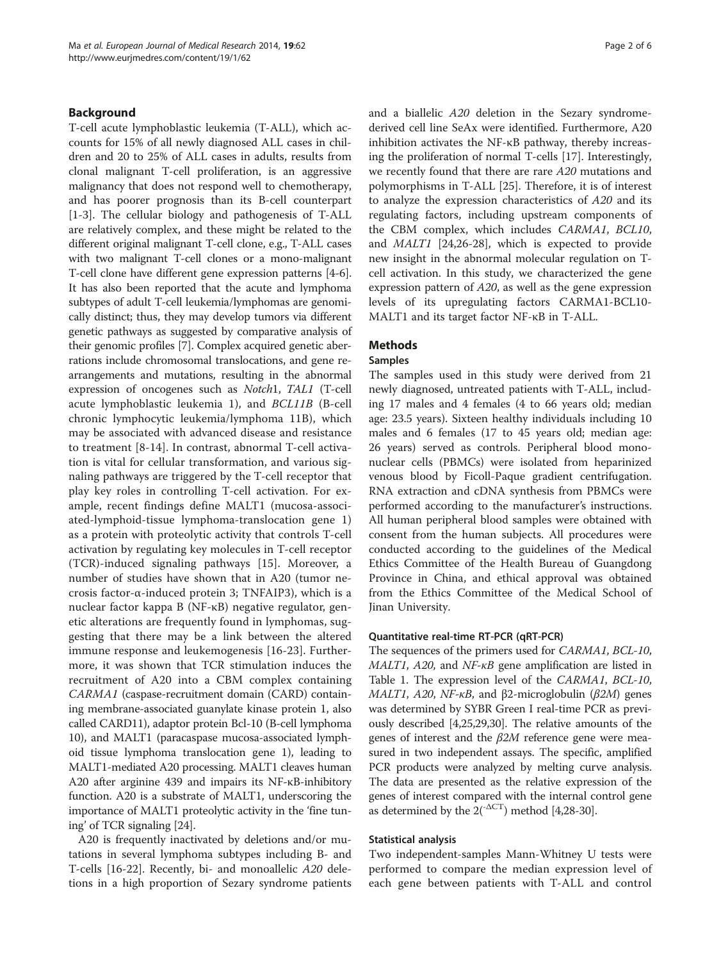# Background

T-cell acute lymphoblastic leukemia (T-ALL), which accounts for 15% of all newly diagnosed ALL cases in children and 20 to 25% of ALL cases in adults, results from clonal malignant T-cell proliferation, is an aggressive malignancy that does not respond well to chemotherapy, and has poorer prognosis than its B-cell counterpart [[1-3](#page-4-0)]. The cellular biology and pathogenesis of T-ALL are relatively complex, and these might be related to the different original malignant T-cell clone, e.g., T-ALL cases with two malignant T-cell clones or a mono-malignant T-cell clone have different gene expression patterns [\[4](#page-4-0)-[6](#page-4-0)]. It has also been reported that the acute and lymphoma subtypes of adult T-cell leukemia/lymphomas are genomically distinct; thus, they may develop tumors via different genetic pathways as suggested by comparative analysis of their genomic profiles [\[7\]](#page-4-0). Complex acquired genetic aberrations include chromosomal translocations, and gene rearrangements and mutations, resulting in the abnormal expression of oncogenes such as Notch1, TAL1 (T-cell acute lymphoblastic leukemia 1), and BCL11B (B-cell chronic lymphocytic leukemia/lymphoma 11B), which may be associated with advanced disease and resistance to treatment [\[8](#page-4-0)-[14\]](#page-4-0). In contrast, abnormal T-cell activation is vital for cellular transformation, and various signaling pathways are triggered by the T-cell receptor that play key roles in controlling T-cell activation. For example, recent findings define MALT1 (mucosa-associated-lymphoid-tissue lymphoma-translocation gene 1) as a protein with proteolytic activity that controls T-cell activation by regulating key molecules in T-cell receptor (TCR)-induced signaling pathways [\[15](#page-4-0)]. Moreover, a number of studies have shown that in A20 (tumor necrosis factor-α-induced protein 3; TNFAIP3), which is a nuclear factor kappa B (NF-κB) negative regulator, genetic alterations are frequently found in lymphomas, suggesting that there may be a link between the altered immune response and leukemogenesis [[16-](#page-4-0)[23](#page-5-0)]. Furthermore, it was shown that TCR stimulation induces the recruitment of A20 into a CBM complex containing CARMA1 (caspase-recruitment domain (CARD) containing membrane-associated guanylate kinase protein 1, also called CARD11), adaptor protein Bcl-10 (B-cell lymphoma 10), and MALT1 (paracaspase mucosa-associated lymphoid tissue lymphoma translocation gene 1), leading to MALT1-mediated A20 processing. MALT1 cleaves human A20 after arginine 439 and impairs its NF-κB-inhibitory function. A20 is a substrate of MALT1, underscoring the importance of MALT1 proteolytic activity in the 'fine tuning' of TCR signaling [[24](#page-5-0)].

A20 is frequently inactivated by deletions and/or mutations in several lymphoma subtypes including B- and T-cells [\[16-](#page-4-0)[22](#page-5-0)]. Recently, bi- and monoallelic A20 deletions in a high proportion of Sezary syndrome patients and a biallelic A20 deletion in the Sezary syndromederived cell line SeAx were identified. Furthermore, A20 inhibition activates the NF-κB pathway, thereby increasing the proliferation of normal T-cells [\[17](#page-4-0)]. Interestingly, we recently found that there are rare A20 mutations and polymorphisms in T-ALL [[25](#page-5-0)]. Therefore, it is of interest to analyze the expression characteristics of A20 and its regulating factors, including upstream components of the CBM complex, which includes CARMA1, BCL10, and MALT1 [\[24,26-28](#page-5-0)], which is expected to provide new insight in the abnormal molecular regulation on Tcell activation. In this study, we characterized the gene expression pattern of A20, as well as the gene expression levels of its upregulating factors CARMA1-BCL10- MALT1 and its target factor NF-κB in T-ALL.

# **Methods**

# Samples

The samples used in this study were derived from 21 newly diagnosed, untreated patients with T-ALL, including 17 males and 4 females (4 to 66 years old; median age: 23.5 years). Sixteen healthy individuals including 10 males and 6 females (17 to 45 years old; median age: 26 years) served as controls. Peripheral blood mononuclear cells (PBMCs) were isolated from heparinized venous blood by Ficoll-Paque gradient centrifugation. RNA extraction and cDNA synthesis from PBMCs were performed according to the manufacturer's instructions. All human peripheral blood samples were obtained with consent from the human subjects. All procedures were conducted according to the guidelines of the Medical Ethics Committee of the Health Bureau of Guangdong Province in China, and ethical approval was obtained from the Ethics Committee of the Medical School of Jinan University.

# Quantitative real-time RT-PCR (qRT-PCR)

The sequences of the primers used for CARMA1, BCL-10,  $MALTI$ , A20, and  $NF\nu$  gene amplification are listed in Table [1.](#page-2-0) The expression level of the CARMA1, BCL-10, MALT1, A20, NF-κB, and β2-microglobulin ( $β2M$ ) genes was determined by SYBR Green I real-time PCR as previously described [\[4](#page-4-0)[,25,29,30](#page-5-0)]. The relative amounts of the genes of interest and the  $\beta 2M$  reference gene were measured in two independent assays. The specific, amplified PCR products were analyzed by melting curve analysis. The data are presented as the relative expression of the genes of interest compared with the internal control gene as determined by the  $2(^{-\Delta CT})$  method [[4,](#page-4-0)[28](#page-5-0)-[30](#page-5-0)].

# Statistical analysis

Two independent-samples Mann-Whitney U tests were performed to compare the median expression level of each gene between patients with T-ALL and control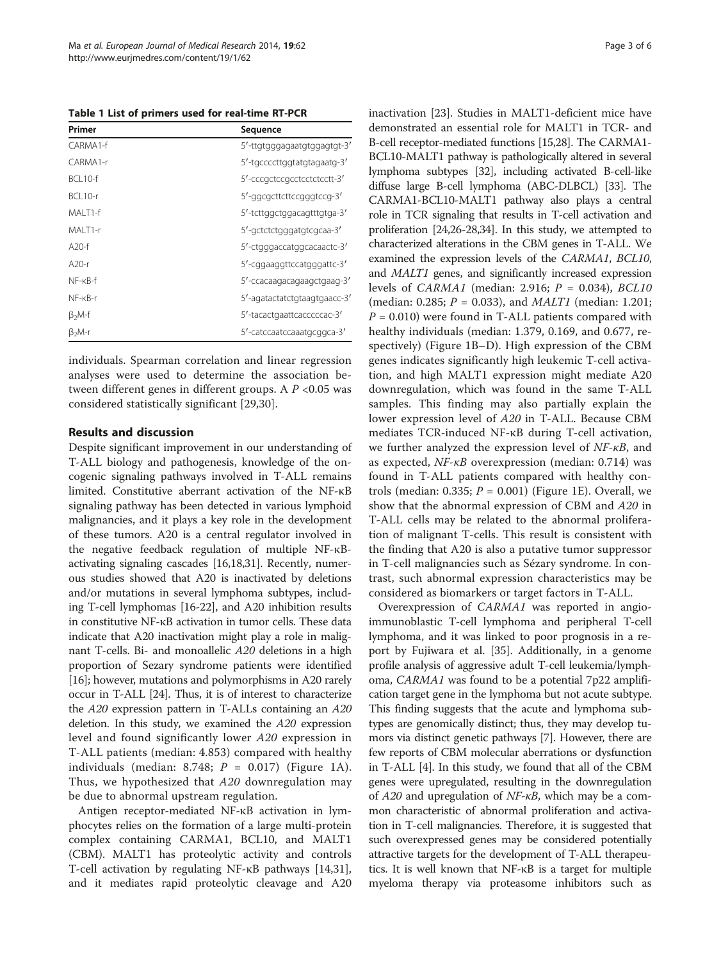<span id="page-2-0"></span>Table 1 List of primers used for real-time RT-PCR

| Primer                 | Sequence                     |
|------------------------|------------------------------|
| CARMA1-f               | 5'-ttgtgggagaatgtggagtgt-3'  |
| CARMA1-r               | 5'-tgccccttggtatgtagaatg-3'  |
| <b>BCI 10-f</b>        | 5'-cccgctccgcctcctctcctt-3'  |
| BCL10-r                | 5'-ggcgcttcttccgggtccg-3'    |
| MALT1-f                | 5'-tcttggctggacagtttgtga-3'  |
| MALT1-r                | 5'-gctctctgggatgtcgcaa-3'    |
| $A20-f$                | 5'-ctgggaccatggcacaactc-3'   |
| $A20-r$                | 5'-cggaaggttccatgggattc-3'   |
| $NF$ - $\kappa$ $B$ -f | 5'-ccacaagacagaagctgaag-3'   |
| $NF$ - $\kappa$ B-r    | 5'-agatactatctgtaagtgaacc-3' |
| $\beta_2$ M-f          | 5'-tacactgaattcacccccac-3'   |
| $\beta_2$ M-r          | 5'-catccaatccaaatgcggca-3'   |

individuals. Spearman correlation and linear regression analyses were used to determine the association between different genes in different groups. A  $P < 0.05$  was considered statistically significant [[29,30](#page-5-0)].

# Results and discussion

Despite significant improvement in our understanding of T-ALL biology and pathogenesis, knowledge of the oncogenic signaling pathways involved in T-ALL remains limited. Constitutive aberrant activation of the NF-κB signaling pathway has been detected in various lymphoid malignancies, and it plays a key role in the development of these tumors. A20 is a central regulator involved in the negative feedback regulation of multiple NF-κBactivating signaling cascades [[16,18](#page-4-0)[,31\]](#page-5-0). Recently, numerous studies showed that A20 is inactivated by deletions and/or mutations in several lymphoma subtypes, including T-cell lymphomas [\[16](#page-4-0)[-22\]](#page-5-0), and A20 inhibition results in constitutive NF-κB activation in tumor cells. These data indicate that A20 inactivation might play a role in malignant T-cells. Bi- and monoallelic A20 deletions in a high proportion of Sezary syndrome patients were identified [[16](#page-4-0)]; however, mutations and polymorphisms in A20 rarely occur in T-ALL [\[24\]](#page-5-0). Thus, it is of interest to characterize the A20 expression pattern in T-ALLs containing an A20 deletion. In this study, we examined the A20 expression level and found significantly lower A20 expression in T-ALL patients (median: 4.853) compared with healthy individuals (median: 8.748;  $P = 0.017$ ) (Figure [1A](#page-3-0)). Thus, we hypothesized that A20 downregulation may be due to abnormal upstream regulation.

Antigen receptor-mediated NF-κB activation in lymphocytes relies on the formation of a large multi-protein complex containing CARMA1, BCL10, and MALT1 (CBM). MALT1 has proteolytic activity and controls T-cell activation by regulating NF-κB pathways [\[14](#page-4-0)[,31](#page-5-0)], and it mediates rapid proteolytic cleavage and A20 inactivation [\[23\]](#page-5-0). Studies in MALT1-deficient mice have demonstrated an essential role for MALT1 in TCR- and B-cell receptor-mediated functions [[15](#page-4-0)[,28\]](#page-5-0). The CARMA1- BCL10-MALT1 pathway is pathologically altered in several lymphoma subtypes [\[32\]](#page-5-0), including activated B-cell-like diffuse large B-cell lymphoma (ABC-DLBCL) [[33](#page-5-0)]. The CARMA1-BCL10-MALT1 pathway also plays a central role in TCR signaling that results in T-cell activation and proliferation [\[24,26](#page-5-0)-[28,34\]](#page-5-0). In this study, we attempted to characterized alterations in the CBM genes in T-ALL. We examined the expression levels of the CARMA1, BCL10, and MALT1 genes, and significantly increased expression levels of *CARMA1* (median: 2.916;  $P = 0.034$ ), *BCL10* (median: 0.285;  $P = 0.033$ ), and *MALT1* (median: 1.201;  $P = 0.010$ ) were found in T-ALL patients compared with healthy individuals (median: 1.379, 0.169, and 0.677, respectively) (Figure [1B](#page-3-0)–D). High expression of the CBM genes indicates significantly high leukemic T-cell activation, and high MALT1 expression might mediate A20 downregulation, which was found in the same T-ALL samples. This finding may also partially explain the lower expression level of A20 in T-ALL. Because CBM mediates TCR-induced NF-κB during T-cell activation, we further analyzed the expression level of  $NF$ - $\kappa B$ , and as expected, NF-κB overexpression (median: 0.714) was found in T-ALL patients compared with healthy controls (median: 0.335;  $P = 0.001$ ) (Figure [1](#page-3-0)E). Overall, we show that the abnormal expression of CBM and A20 in T-ALL cells may be related to the abnormal proliferation of malignant T-cells. This result is consistent with the finding that A20 is also a putative tumor suppressor in T-cell malignancies such as Sézary syndrome. In contrast, such abnormal expression characteristics may be considered as biomarkers or target factors in T-ALL.

Overexpression of CARMA1 was reported in angioimmunoblastic T-cell lymphoma and peripheral T-cell lymphoma, and it was linked to poor prognosis in a report by Fujiwara et al. [[35](#page-5-0)]. Additionally, in a genome profile analysis of aggressive adult T-cell leukemia/lymphoma, CARMA1 was found to be a potential 7p22 amplification target gene in the lymphoma but not acute subtype. This finding suggests that the acute and lymphoma subtypes are genomically distinct; thus, they may develop tumors via distinct genetic pathways [\[7](#page-4-0)]. However, there are few reports of CBM molecular aberrations or dysfunction in T-ALL [\[4](#page-4-0)]. In this study, we found that all of the CBM genes were upregulated, resulting in the downregulation of  $A20$  and upregulation of  $NF$ - $\kappa B$ , which may be a common characteristic of abnormal proliferation and activation in T-cell malignancies. Therefore, it is suggested that such overexpressed genes may be considered potentially attractive targets for the development of T-ALL therapeutics. It is well known that NF-κB is a target for multiple myeloma therapy via proteasome inhibitors such as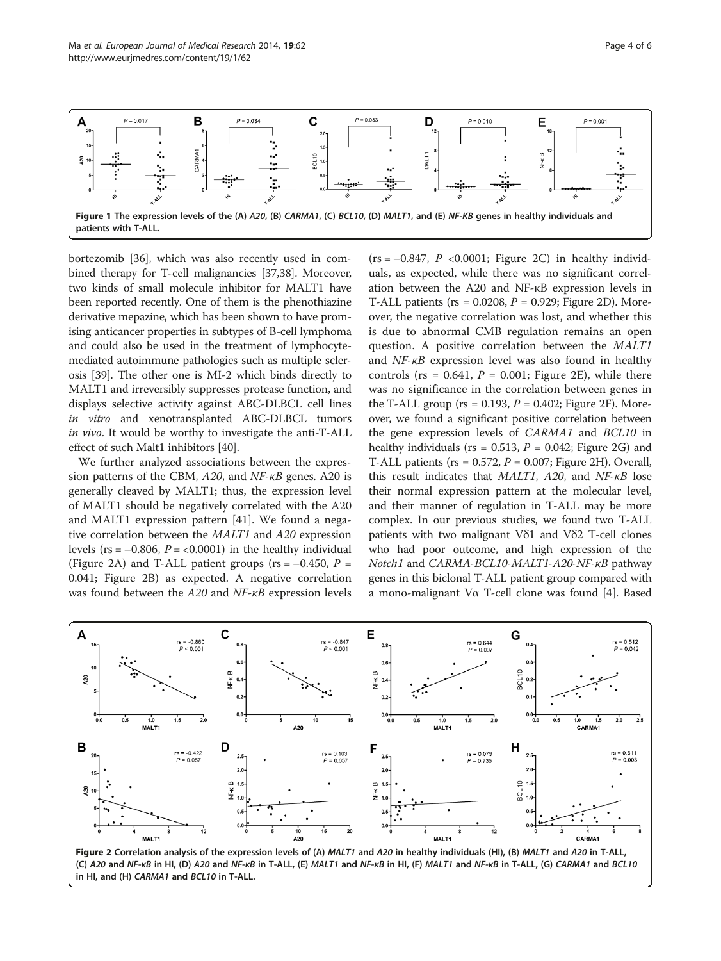<span id="page-3-0"></span>

bortezomib [\[36\]](#page-5-0), which was also recently used in combined therapy for T-cell malignancies [\[37,38](#page-5-0)]. Moreover, two kinds of small molecule inhibitor for MALT1 have been reported recently. One of them is the phenothiazine derivative mepazine, which has been shown to have promising anticancer properties in subtypes of B-cell lymphoma and could also be used in the treatment of lymphocytemediated autoimmune pathologies such as multiple sclerosis [[39](#page-5-0)]. The other one is MI-2 which binds directly to MALT1 and irreversibly suppresses protease function, and displays selective activity against ABC-DLBCL cell lines in vitro and xenotransplanted ABC-DLBCL tumors in vivo. It would be worthy to investigate the anti-T-ALL effect of such Malt1 inhibitors [\[40\]](#page-5-0).

We further analyzed associations between the expression patterns of the CBM, A20, and NF-κB genes. A20 is generally cleaved by MALT1; thus, the expression level of MALT1 should be negatively correlated with the A20 and MALT1 expression pattern [\[41\]](#page-5-0). We found a negative correlation between the MALT1 and A20 expression levels (rs =  $-0.806$ ,  $P = <0.0001$ ) in the healthy individual (Figure 2A) and T-ALL patient groups ( $rs = -0.450$ ,  $P =$ 0.041; Figure 2B) as expected. A negative correlation was found between the A20 and NF-κB expression levels

 $(rs = -0.847, P < 0.0001; Figure 2C)$  in healthy individuals, as expected, while there was no significant correlation between the A20 and NF-κB expression levels in T-ALL patients ( $rs = 0.0208$ ,  $P = 0.929$ ; Figure 2D). Moreover, the negative correlation was lost, and whether this is due to abnormal CMB regulation remains an open question. A positive correlation between the MALT1 and NF-κB expression level was also found in healthy controls (rs =  $0.641$ ,  $P = 0.001$ ; Figure 2E), while there was no significance in the correlation between genes in the T-ALL group ( $rs = 0.193$ ,  $P = 0.402$ ; Figure 2F). Moreover, we found a significant positive correlation between the gene expression levels of CARMA1 and BCL10 in healthy individuals (rs =  $0.513$ ,  $P = 0.042$ ; Figure 2G) and T-ALL patients ( $rs = 0.572$ ,  $P = 0.007$ ; Figure 2H). Overall, this result indicates that MALT1, A20, and NF-κB lose their normal expression pattern at the molecular level, and their manner of regulation in T-ALL may be more complex. In our previous studies, we found two T-ALL patients with two malignant Vδ1 and Vδ2 T-cell clones who had poor outcome, and high expression of the Notch1 and CARMA-BCL10-MALT1-A20-NF-κB pathway genes in this biclonal T-ALL patient group compared with a mono-malignant Vα T-cell clone was found [\[4](#page-4-0)]. Based

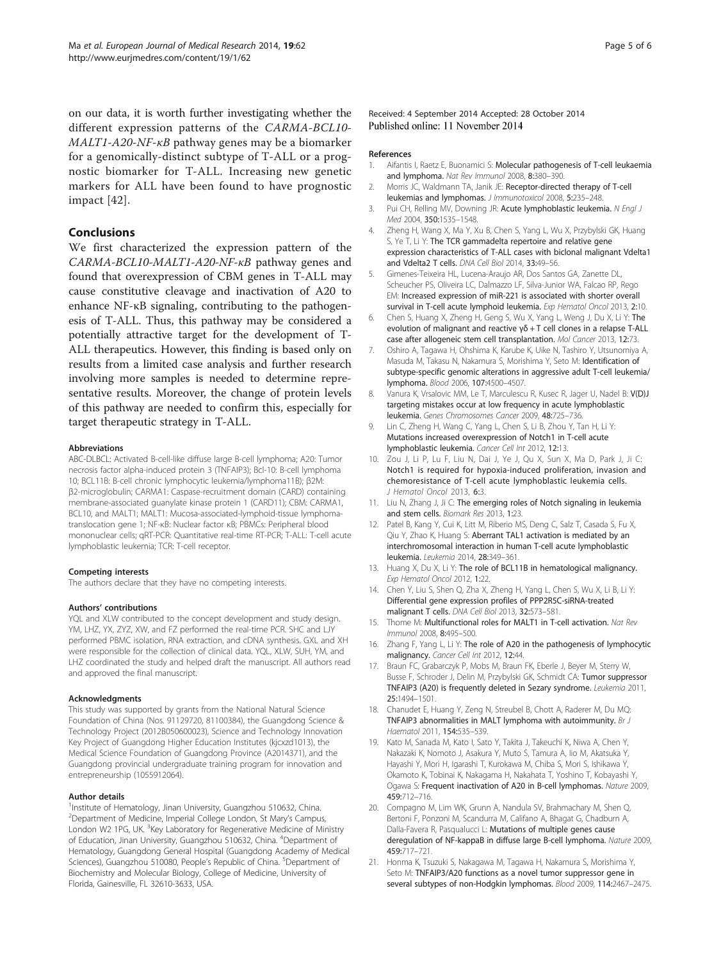<span id="page-4-0"></span>on our data, it is worth further investigating whether the different expression patterns of the CARMA-BCL10- MALT1-A20-NF-κB pathway genes may be a biomarker for a genomically-distinct subtype of T-ALL or a prognostic biomarker for T-ALL. Increasing new genetic markers for ALL have been found to have prognostic impact [[42\]](#page-5-0).

# Conclusions

We first characterized the expression pattern of the CARMA-BCL10-MALT1-A20-NF-κB pathway genes and found that overexpression of CBM genes in T-ALL may cause constitutive cleavage and inactivation of A20 to enhance NF-κB signaling, contributing to the pathogenesis of T-ALL. Thus, this pathway may be considered a potentially attractive target for the development of T-ALL therapeutics. However, this finding is based only on results from a limited case analysis and further research involving more samples is needed to determine representative results. Moreover, the change of protein levels of this pathway are needed to confirm this, especially for target therapeutic strategy in T-ALL.

#### Abbreviations

ABC-DLBCL: Activated B-cell-like diffuse large B-cell lymphoma; A20: Tumor necrosis factor alpha-induced protein 3 (TNFAIP3); Bcl-10: B-cell lymphoma 10; BCL11B: B-cell chronic lymphocytic leukemia/lymphoma11B); β2M: β2-microglobulin; CARMA1: Caspase-recruitment domain (CARD) containing membrane-associated guanylate kinase protein 1 (CARD11); CBM: CARMA1, BCL10, and MALT1; MALT1: Mucosa-associated-lymphoid-tissue lymphomatranslocation gene 1; NF-κB: Nuclear factor κB; PBMCs: Peripheral blood mononuclear cells; qRT-PCR: Quantitative real-time RT-PCR; T-ALL: T-cell acute lymphoblastic leukemia; TCR: T-cell receptor.

## Competing interests

The authors declare that they have no competing interests.

#### Authors' contributions

YQL and XLW contributed to the concept development and study design. YM, LHZ, YX, ZYZ, XW, and FZ performed the real-time PCR. SHC and LJY performed PBMC isolation, RNA extraction, and cDNA synthesis. GXL and XH were responsible for the collection of clinical data. YQL, XLW, SUH, YM, and LHZ coordinated the study and helped draft the manuscript. All authors read and approved the final manuscript.

#### Acknowledgments

This study was supported by grants from the National Natural Science Foundation of China (Nos. 91129720, 81100384), the Guangdong Science & Technology Project (2012B050600023), Science and Technology Innovation Key Project of Guangdong Higher Education Institutes (kjcxzd1013), the Medical Science Foundation of Guangdong Province (A2014371), and the Guangdong provincial undergraduate training program for innovation and entrepreneurship (1055912064).

## Author details

<sup>1</sup>Institute of Hematology, Jinan University, Guangzhou 510632, China. <sup>2</sup>Department of Medicine, Imperial College London, St Mary's Campus, London W2 1PG, UK. <sup>3</sup>Key Laboratory for Regenerative Medicine of Ministry of Education, Jinan University, Guangzhou 510632, China. <sup>4</sup>Department of Hematology, Guangdong General Hospital (Guangdong Academy of Medical Sciences), Guangzhou 510080, People's Republic of China. <sup>5</sup>Department of Biochemistry and Molecular Biology, College of Medicine, University of Florida, Gainesville, FL 32610-3633, USA.

Received: 4 September 2014 Accepted: 28 October 2014 Published online: 11 November 2014

#### References

- 1. Aifantis I, Raetz E, Buonamici S: Molecular pathogenesis of T-cell leukaemia and lymphoma. Nat Rev Immunol 2008, 8:380–390.
- 2. Morris JC, Waldmann TA, Janik JE: Receptor-directed therapy of T-cell leukemias and lymphomas. J Immunotoxicol 2008, 5:235–248.
- 3. Pui CH, Relling MV, Downing JR: Acute lymphoblastic leukemia. N Engl J Med 2004, 350:1535–1548.
- 4. Zheng H, Wang X, Ma Y, Xu B, Chen S, Yang L, Wu X, Przybylski GK, Huang S, Ye T, Li Y: The TCR gammadelta repertoire and relative gene expression characteristics of T-ALL cases with biclonal malignant Vdelta1 and Vdelta2 T cells. DNA Cell Biol 2014, 33:49–56.
- 5. Gimenes-Teixeira HL, Lucena-Araujo AR, Dos Santos GA, Zanette DL, Scheucher PS, Oliveira LC, Dalmazzo LF, Silva-Junior WA, Falcao RP, Rego EM: Increased expression of miR-221 is associated with shorter overall survival in T-cell acute lymphoid leukemia. Exp Hematol Oncol 2013, 2:10.
- 6. Chen S, Huang X, Zheng H, Geng S, Wu X, Yang L, Weng J, Du X, Li Y: The evolution of malignant and reactive γδ + T cell clones in a relapse T-ALL case after allogeneic stem cell transplantation. Mol Cancer 2013, 12:73.
- 7. Oshiro A, Tagawa H, Ohshima K, Karube K, Uike N, Tashiro Y, Utsunomiya A, Masuda M, Takasu N, Nakamura S, Morishima Y, Seto M: Identification of subtype-specific genomic alterations in aggressive adult T-cell leukemia/ lymphoma. Blood 2006, 107:4500–4507.
- 8. Vanura K, Vrsalovic MM, Le T, Marculescu R, Kusec R, Jager U, Nadel B: V(D)J targeting mistakes occur at low frequency in acute lymphoblastic leukemia. Genes Chromosomes Cancer 2009, 48:725–736.
- 9. Lin C, Zheng H, Wang C, Yang L, Chen S, Li B, Zhou Y, Tan H, Li Y: Mutations increased overexpression of Notch1 in T-cell acute lymphoblastic leukemia. Cancer Cell Int 2012, 12:13.
- 10. Zou J, Li P, Lu F, Liu N, Dai J, Ye J, Qu X, Sun X, Ma D, Park J, Ji C: Notch1 is required for hypoxia-induced proliferation, invasion and chemoresistance of T-cell acute lymphoblastic leukemia cells. J Hematol Oncol 2013, 6:3.
- 11. Liu N, Zhang J, Ji C: The emerging roles of Notch signaling in leukemia and stem cells. Biomark Res 2013, 1:23.
- 12. Patel B, Kang Y, Cui K, Litt M, Riberio MS, Deng C, Salz T, Casada S, Fu X, Qiu Y, Zhao K, Huang S: Aberrant TAL1 activation is mediated by an interchromosomal interaction in human T-cell acute lymphoblastic leukemia. Leukemia 2014, 28:349-361.
- 13. Huang X, Du X, Li Y: The role of BCL11B in hematological malignancy. Exp Hematol Oncol 2012, 1:22.
- 14. Chen Y, Liu S, Shen Q, Zha X, Zheng H, Yang L, Chen S, Wu X, Li B, Li Y: Differential gene expression profiles of PPP2R5C-siRNA-treated malignant T cells. DNA Cell Biol 2013, 32:573–581.
- 15. Thome M: Multifunctional roles for MALT1 in T-cell activation. Nat Rev Immunol 2008, 8:495–500.
- 16. Zhang F, Yang L, Li Y: The role of A20 in the pathogenesis of lymphocytic malignancy. Cancer Cell Int 2012, 12:44.
- 17. Braun FC, Grabarczyk P, Mobs M, Braun FK, Eberle J, Beyer M, Sterry W, Busse F, Schroder J, Delin M, Przybylski GK, Schmidt CA: Tumor suppressor TNFAIP3 (A20) is frequently deleted in Sezary syndrome. Leukemia 2011, 25:1494–1501.
- 18. Chanudet E, Huang Y, Zeng N, Streubel B, Chott A, Raderer M, Du MQ: TNFAIP3 abnormalities in MALT lymphoma with autoimmunity. Br J Haematol 2011, 154:535–539.
- 19. Kato M, Sanada M, Kato I, Sato Y, Takita J, Takeuchi K, Niwa A, Chen Y, Nakazaki K, Nomoto J, Asakura Y, Muto S, Tamura A, Iio M, Akatsuka Y, Hayashi Y, Mori H, Igarashi T, Kurokawa M, Chiba S, Mori S, Ishikawa Y, Okamoto K, Tobinai K, Nakagama H, Nakahata T, Yoshino T, Kobayashi Y, Ogawa S: Frequent inactivation of A20 in B-cell lymphomas. Nature 2009, 459:712–716.
- 20. Compagno M, Lim WK, Grunn A, Nandula SV, Brahmachary M, Shen Q, Bertoni F, Ponzoni M, Scandurra M, Califano A, Bhagat G, Chadburn A, Dalla-Favera R, Pasqualucci L: Mutations of multiple genes cause deregulation of NF-kappaB in diffuse large B-cell lymphoma. Nature 2009, 459:717–721.
- 21. Honma K, Tsuzuki S, Nakagawa M, Tagawa H, Nakamura S, Morishima Y, Seto M: TNFAIP3/A20 functions as a novel tumor suppressor gene in several subtypes of non-Hodgkin lymphomas. Blood 2009, 114:2467–2475.